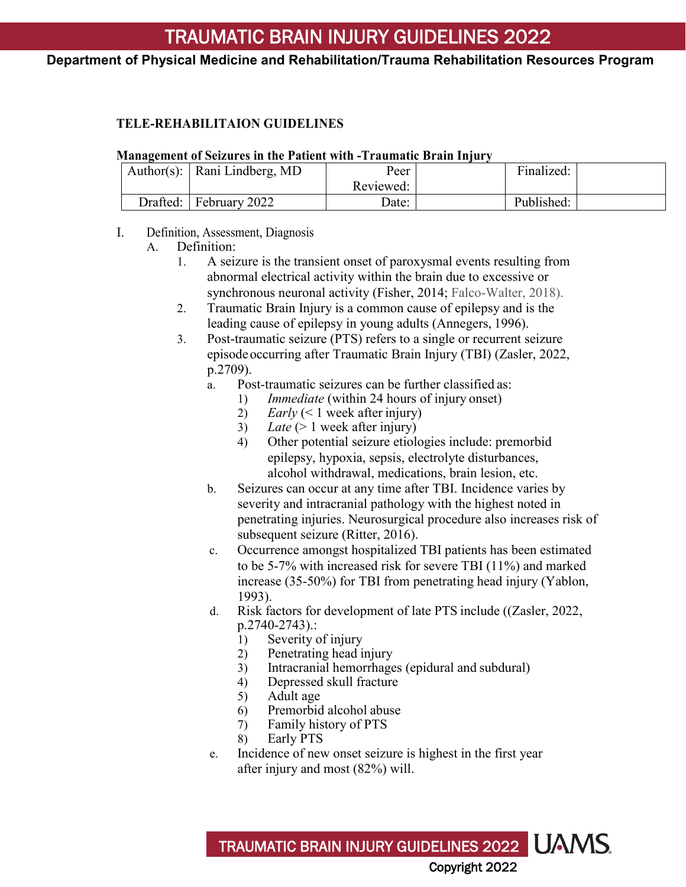### **Department of Physical Medicine and Rehabilitation/Trauma Rehabilitation Resources Program**

### **TELE-REHABILITAION GUIDELINES**

#### **Management of Seizures in the Patient with -Traumatic Brain Injury**

|          | Author(s): $\vert$ Rani Lindberg, MD | Peer      | Finalized: |  |
|----------|--------------------------------------|-----------|------------|--|
|          |                                      | Reviewed: |            |  |
| Drafted: | February 2022                        | Date:     | Published: |  |

#### I. Definition, Assessment, Diagnosis

- A. Definition:
	- 1. A seizure is the transient onset of paroxysmal events resulting from abnormal electrical activity within the brain due to excessive or synchronous neuronal activity (Fisher, 2014; Falco-Walter, 2018).
	- 2. Traumatic Brain Injury is a common cause of epilepsy and is the leading cause of epilepsy in young adults (Annegers, 1996).
	- 3. Post-traumatic seizure (PTS) refers to a single or recurrent seizure episodeoccurring after Traumatic Brain Injury (TBI) (Zasler, 2022, p.2709).
		- a. Post-traumatic seizures can be further classified as:
			- 1) *Immediate* (within 24 hours of injury onset)
				- 2) *Early* (< 1 week after injury)
				- 3) *Late*  $(> 1$  week after injury)
				- 4) Other potential seizure etiologies include: premorbid epilepsy, hypoxia, sepsis, electrolyte disturbances, alcohol withdrawal, medications, brain lesion, etc.
		- b. Seizures can occur at any time after TBI. Incidence varies by severity and intracranial pathology with the highest noted in penetrating injuries. Neurosurgical procedure also increases risk of subsequent seizure (Ritter, 2016).
		- c. Occurrence amongst hospitalized TBI patients has been estimated to be 5-7% with increased risk for severe TBI (11%) and marked increase (35-50%) for TBI from penetrating head injury (Yablon, 1993).
		- d. Risk factors for development of late PTS include ((Zasler, 2022, p.2740-2743).:
			- 1) Severity of injury
			- 2) Penetrating head injury
			- 3) Intracranial hemorrhages (epidural and subdural)
			- 4) Depressed skull fracture
			- 5) Adult age
			- 6) Premorbid alcohol abuse
			- 7) Family history of PTS
			- Early PTS
		- e. Incidence of new onset seizure is highest in the first year after injury and most (82%) will.

TRAUMATIC BRAIN INJURY GUIDELINES 2022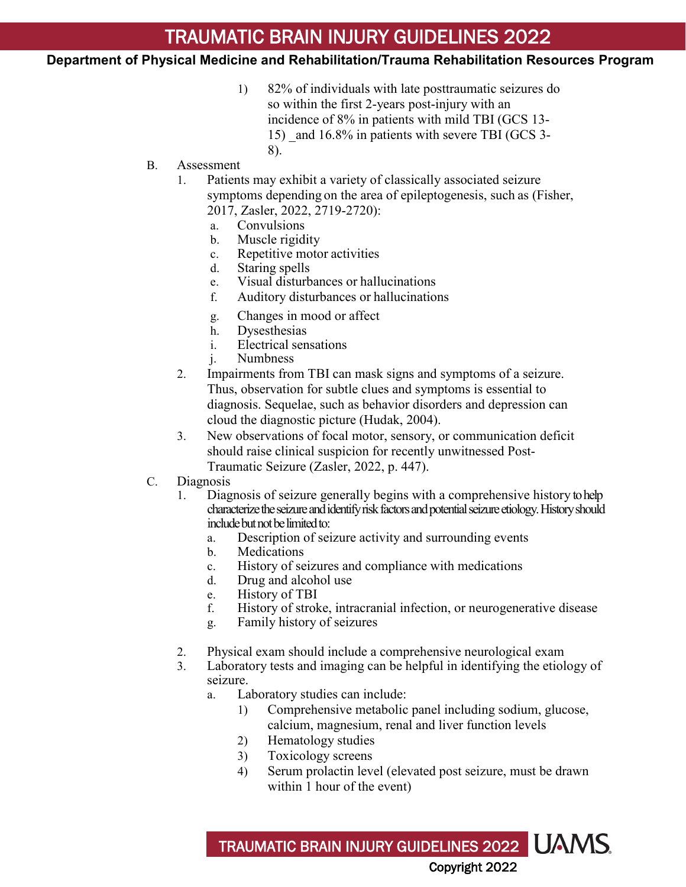### **Department of Physical Medicine and Rehabilitation/Trauma Rehabilitation Resources Program**

- 1) 82% of individuals with late posttraumatic seizures do so within the first 2-years post-injury with an incidence of 8% in patients with mild TBI (GCS 13- 15) and 16.8% in patients with severe TBI (GCS 3-8).
- B. Assessment
	- 1. Patients may exhibit a variety of classically associated seizure symptoms depending on the area of epileptogenesis, such as (Fisher, 2017, Zasler, 2022, 2719-2720):
		- a. Convulsions
		- b. Muscle rigidity
		- c. Repetitive motor activities
		- d. Staring spells
		- e. Visual disturbances or hallucinations
		- f. Auditory disturbances or hallucinations
		- g. Changes in mood or affect
		-
		- h. Dysesthesias<br>i. Electrical sen Electrical sensations
		- j. Numbness
	- 2. Impairments from TBI can mask signs and symptoms of a seizure. Thus, observation for subtle clues and symptoms is essential to diagnosis. Sequelae, such as behavior disorders and depression can cloud the diagnostic picture (Hudak, 2004).
	- 3. New observations of focal motor, sensory, or communication deficit should raise clinical suspicion for recently unwitnessed Post-Traumatic Seizure (Zasler, 2022, p. 447).
- C. Diagnosis
	- 1. Diagnosis of seizure generally begins with a comprehensive history to help characterize the seizure and identify risk factors and potential seizure etiology. History should include but not be limited to:
		- a. Description of seizure activity and surrounding events
		- b. Medications
		- c. History of seizures and compliance with medications
		- d. Drug and alcohol use
		- e. History of TBI
		- f. History of stroke, intracranial infection, or neurogenerative disease
		- g. Family history of seizures
	- 2. Physical exam should include a comprehensive neurological exam
	- 3. Laboratory tests and imaging can be helpful in identifying the etiology of seizure.
		- a. Laboratory studies can include:
			- 1) Comprehensive metabolic panel including sodium, glucose, calcium, magnesium, renal and liver function levels
			- 2) Hematology studies
			- 3) Toxicology screens
			- 4) Serum prolactin level (elevated post seizure, must be drawn within 1 hour of the event)

TRAUMATIC BRAIN INJURY GUIDELINES 2022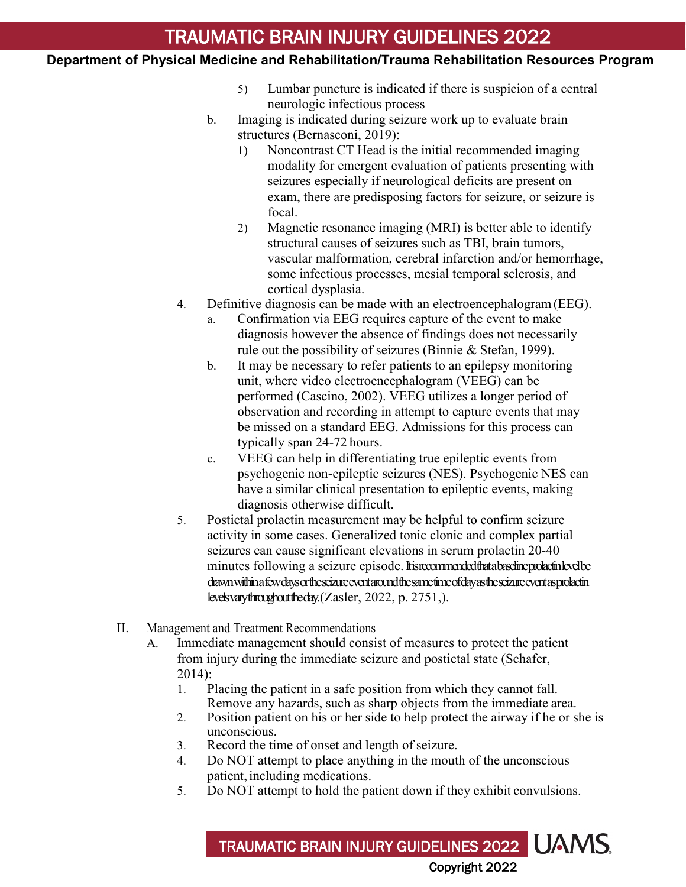### **Department of Physical Medicine and Rehabilitation/Trauma Rehabilitation Resources Program**

- 5) Lumbar puncture is indicated if there is suspicion of a central neurologic infectious process
- b. Imaging is indicated during seizure work up to evaluate brain structures (Bernasconi, 2019):
	- 1) Noncontrast CT Head is the initial recommended imaging modality for emergent evaluation of patients presenting with seizures especially if neurological deficits are present on exam, there are predisposing factors for seizure, or seizure is focal.
	- 2) Magnetic resonance imaging (MRI) is better able to identify structural causes of seizures such as TBI, brain tumors, vascular malformation, cerebral infarction and/or hemorrhage, some infectious processes, mesial temporal sclerosis, and cortical dysplasia.
- 4. Definitive diagnosis can be made with an electroencephalogram(EEG).
	- a. Confirmation via EEG requires capture of the event to make diagnosis however the absence of findings does not necessarily rule out the possibility of seizures (Binnie & Stefan, 1999).
	- b. It may be necessary to refer patients to an epilepsy monitoring unit, where video electroencephalogram (VEEG) can be performed (Cascino, 2002). VEEG utilizes a longer period of observation and recording in attempt to capture events that may be missed on a standard EEG. Admissions for this process can typically span 24-72 hours.
	- c. VEEG can help in differentiating true epileptic events from psychogenic non-epileptic seizures (NES). Psychogenic NES can have a similar clinical presentation to epileptic events, making diagnosis otherwise difficult.
- 5. Postictal prolactin measurement may be helpful to confirm seizure activity in some cases. Generalized tonic clonic and complex partial seizures can cause significant elevations in serum prolactin 20-40 minutes following a seizure episode. It is recommended that a baseline prolactin level be drawn within a few days or the seizure event around the same time of day as the seizure event as prolactin levels vary throughout the day. (Zasler, 2022, p. 2751,).
- II. Management and Treatment Recommendations
	- A. Immediate management should consist of measures to protect the patient from injury during the immediate seizure and postictal state (Schafer, 2014):
		- 1. Placing the patient in a safe position from which they cannot fall. Remove any hazards, such as sharp objects from the immediate area.
		- 2. Position patient on his or her side to help protect the airway if he or she is unconscious.
		- 3. Record the time of onset and length of seizure.
		- 4. Do NOT attempt to place anything in the mouth of the unconscious patient, including medications.
		- 5. Do NOT attempt to hold the patient down if they exhibit convulsions.

TRAUMATIC BRAIN INJURY GUIDELINES 2022 UAMS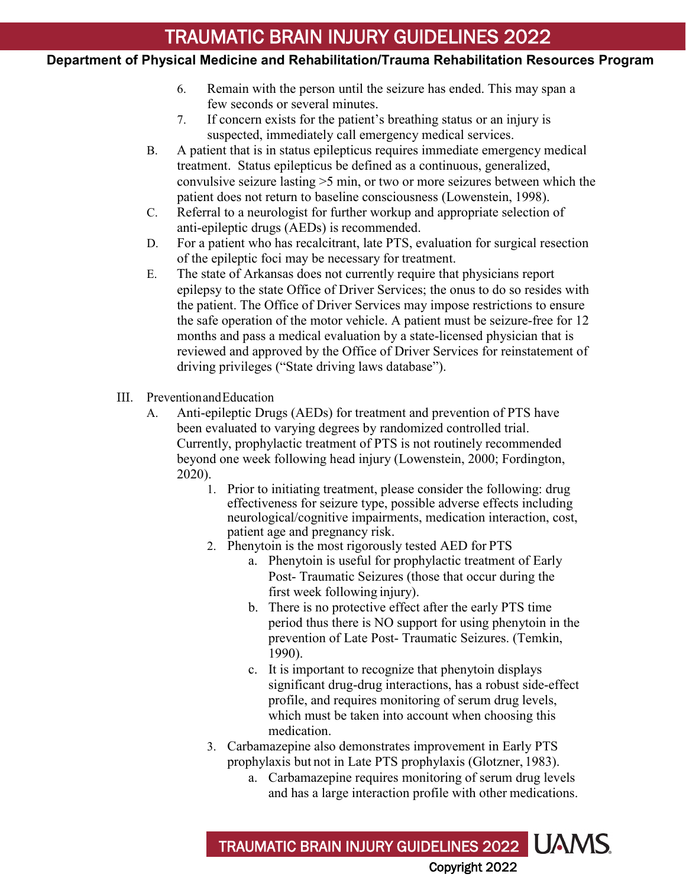### **Department of Physical Medicine and Rehabilitation/Trauma Rehabilitation Resources Program**

- 6. Remain with the person until the seizure has ended. This may span a few seconds or several minutes.
- 7. If concern exists for the patient's breathing status or an injury is suspected, immediately call emergency medical services.
- B. A patient that is in status epilepticus requires immediate emergency medical treatment. Status epilepticus be defined as a continuous, generalized, convulsive seizure lasting >5 min, or two or more seizures between which the patient does not return to baseline consciousness (Lowenstein, 1998).
- C. Referral to a neurologist for further workup and appropriate selection of anti-epileptic drugs (AEDs) is recommended.
- D. For a patient who has recalcitrant, late PTS, evaluation for surgical resection of the epileptic foci may be necessary for treatment.
- E. The state of Arkansas does not currently require that physicians report epilepsy to the state Office of Driver Services; the onus to do so resides with the patient. The Office of Driver Services may impose restrictions to ensure the safe operation of the motor vehicle. A patient must be seizure-free for 12 months and pass a medical evaluation by a state-licensed physician that is reviewed and approved by the Office of Driver Services for reinstatement of driving privileges ("State driving laws database").
- III. PreventionandEducation
	- A. Anti-epileptic Drugs (AEDs) for treatment and prevention of PTS have been evaluated to varying degrees by randomized controlled trial. Currently, prophylactic treatment of PTS is not routinely recommended beyond one week following head injury (Lowenstein, 2000; Fordington, 2020).
		- 1. Prior to initiating treatment, please consider the following: drug effectiveness for seizure type, possible adverse effects including neurological/cognitive impairments, medication interaction, cost, patient age and pregnancy risk.
		- 2. Phenytoin is the most rigorously tested AED for PTS
			- a. Phenytoin is useful for prophylactic treatment of Early Post- Traumatic Seizures (those that occur during the first week following injury).
			- b. There is no protective effect after the early PTS time period thus there is NO support for using phenytoin in the prevention of Late Post- Traumatic Seizures. (Temkin, 1990).
			- c. It is important to recognize that phenytoin displays significant drug-drug interactions, has a robust side-effect profile, and requires monitoring of serum drug levels, which must be taken into account when choosing this medication.
		- 3. Carbamazepine also demonstrates improvement in Early PTS prophylaxis but not in Late PTS prophylaxis (Glotzner, 1983).
			- a. Carbamazepine requires monitoring of serum drug levels and has a large interaction profile with other medications.

TRAUMATIC BRAIN INJURY GUIDELINES 2022 UAMS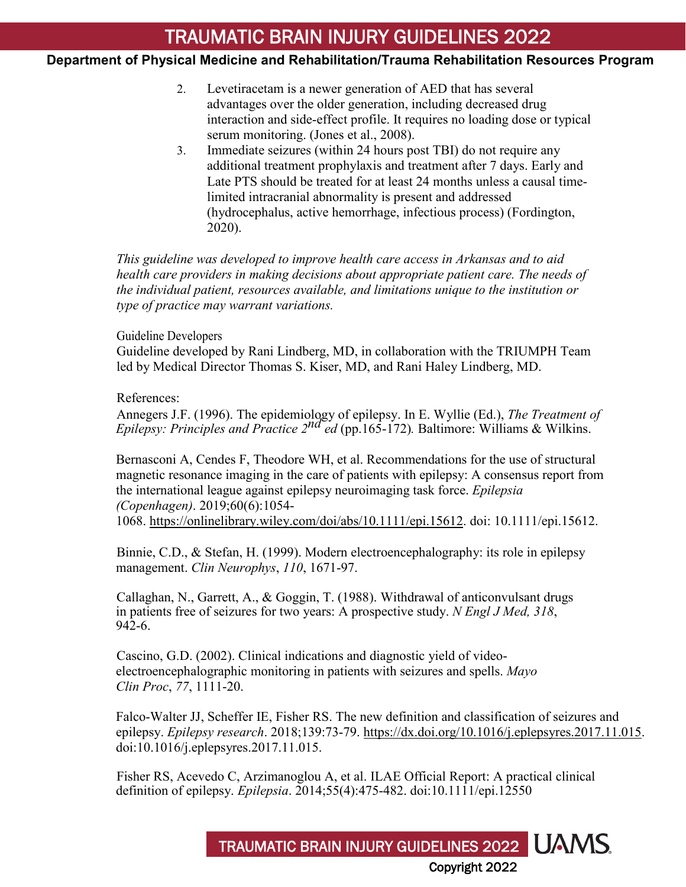### **Department of Physical Medicine and Rehabilitation/Trauma Rehabilitation Resources Program**

- 2. Levetiracetam is a newer generation of AED that has several advantages over the older generation, including decreased drug interaction and side-effect profile. It requires no loading dose or typical serum monitoring. (Jones et al., 2008).
- 3. Immediate seizures (within 24 hours post TBI) do not require any additional treatment prophylaxis and treatment after 7 days. Early and Late PTS should be treated for at least 24 months unless a causal timelimited intracranial abnormality is present and addressed (hydrocephalus, active hemorrhage, infectious process) (Fordington, 2020).

*This guideline was developed to improve health care access in Arkansas and to aid health care providers in making decisions about appropriate patient care. The needs of the individual patient, resources available, and limitations unique to the institution or type of practice may warrant variations.*

#### Guideline Developers

Guideline developed by Rani Lindberg, MD, in collaboration with the TRIUMPH Team led by Medical Director Thomas S. Kiser, MD, and Rani Haley Lindberg, MD.

#### References:

Annegers J.F. (1996). The epidemiology of epilepsy. In E. Wyllie (Ed.), *The Treatment of Epilepsy: Principles and Practice 2<sup>nd ed</sup> (pp.165-172). Baltimore: Williams & Wilkins.* 

Bernasconi A, Cendes F, Theodore WH, et al. Recommendations for the use of structural magnetic resonance imaging in the care of patients with epilepsy: A consensus report from the international league against epilepsy neuroimaging task force. *Epilepsia (Copenhagen)*. 2019;60(6):1054- 1068. [https://onlinelibrary.wiley.com/doi/abs/10.1111/epi.15612.](https://onlinelibrary.wiley.com/doi/abs/10.1111/epi.15612) doi: 10.1111/epi.15612.

Binnie, C.D., & Stefan, H. (1999). Modern electroencephalography: its role in epilepsy management. *Clin Neurophys*, *110*, 1671-97.

Callaghan, N., Garrett, A., & Goggin, T. (1988). Withdrawal of anticonvulsant drugs in patients free of seizures for two years: A prospective study. *N Engl J Med, 318*,  $942-6.$ 

Cascino, G.D. (2002). Clinical indications and diagnostic yield of videoelectroencephalographic monitoring in patients with seizures and spells. *Mayo Clin Proc*, *77*, 1111-20.

Falco-Walter JJ, Scheffer IE, Fisher RS. The new definition and classification of seizures and epilepsy. *Epilepsy research*. 2018;139:73-79. [https://dx.doi.org/10.1016/j.eplepsyres.2017.11.015.](https://dx.doi.org/10.1016/j.eplepsyres.2017.11.015) doi:10.1016/j.eplepsyres.2017.11.015.

TRAUMATIC BRAIN INJURY GUIDELINES 2022 UAMS

Copyright 2022

Fisher RS, Acevedo C, Arzimanoglou A, et al. ILAE Official Report: A practical clinical definition of epilepsy. *Epilepsia*. 2014;55(4):475-482. doi:10.1111/epi.12550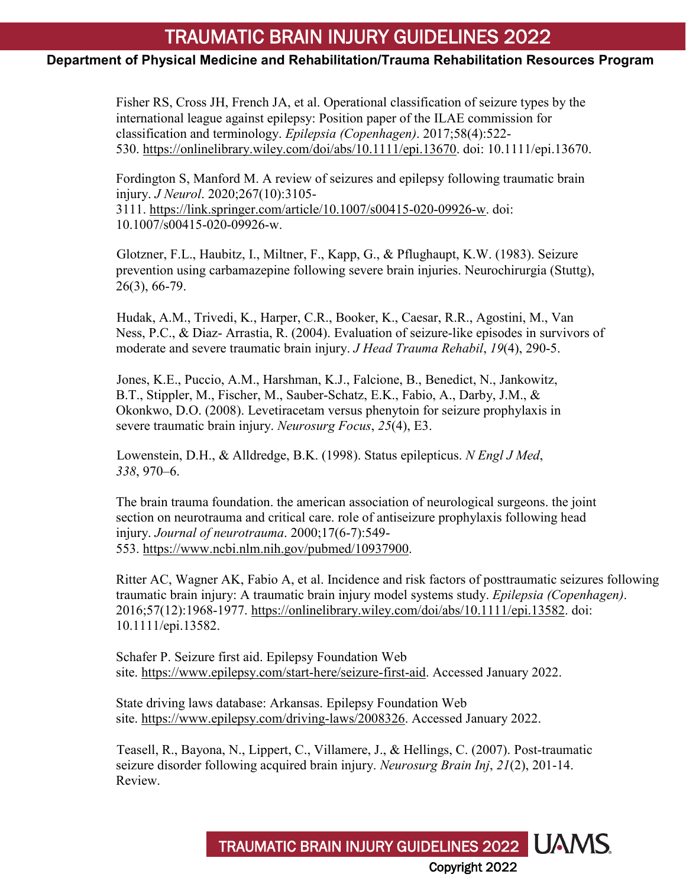### **Department of Physical Medicine and Rehabilitation/Trauma Rehabilitation Resources Program**

Fisher RS, Cross JH, French JA, et al. Operational classification of seizure types by the international league against epilepsy: Position paper of the ILAE commission for classification and terminology. *Epilepsia (Copenhagen)*. 2017;58(4):522- 530. [https://onlinelibrary.wiley.com/doi/abs/10.1111/epi.13670.](https://onlinelibrary.wiley.com/doi/abs/10.1111/epi.13670) doi: 10.1111/epi.13670.

Fordington S, Manford M. A review of seizures and epilepsy following traumatic brain injury. *J Neurol*. 2020;267(10):3105- 3111. [https://link.springer.com/article/10.1007/s00415-020-09926-w.](https://link.springer.com/article/10.1007/s00415-020-09926-w) doi: 10.1007/s00415-020-09926-w.

Glotzner, F.L., Haubitz, I., Miltner, F., Kapp, G., & Pflughaupt, K.W. (1983). Seizure prevention using carbamazepine following severe brain injuries. Neurochirurgia (Stuttg), 26(3), 66-79.

Hudak, A.M., Trivedi, K., Harper, C.R., Booker, K., Caesar, R.R., Agostini, M., Van Ness, P.C., & Diaz- Arrastia, R. (2004). Evaluation of seizure-like episodes in survivors of moderate and severe traumatic brain injury. *J Head Trauma Rehabil*, *19*(4), 290-5.

Jones, K.E., Puccio, A.M., Harshman, K.J., Falcione, B., Benedict, N., Jankowitz, B.T., Stippler, M., Fischer, M., Sauber-Schatz, E.K., Fabio, A., Darby, J.M., & Okonkwo, D.O. (2008). Levetiracetam versus phenytoin for seizure prophylaxis in severe traumatic brain injury. *Neurosurg Focus*, *25*(4), E3.

Lowenstein, D.H., & Alldredge, B.K. (1998). Status epilepticus. *N Engl J Med*, *338*, 970–6.

The brain trauma foundation. the american association of neurological surgeons. the joint section on neurotrauma and critical care. role of antiseizure prophylaxis following head injury. *Journal of neurotrauma*. 2000;17(6-7):549- 553. [https://www.ncbi.nlm.nih.gov/pubmed/10937900.](https://www.ncbi.nlm.nih.gov/pubmed/10937900)

Ritter AC, Wagner AK, Fabio A, et al. Incidence and risk factors of posttraumatic seizures following traumatic brain injury: A traumatic brain injury model systems study. *Epilepsia (Copenhagen)*. 2016;57(12):1968-1977. [https://onlinelibrary.wiley.com/doi/abs/10.1111/epi.13582.](https://onlinelibrary.wiley.com/doi/abs/10.1111/epi.13582) doi: 10.1111/epi.13582.

Schafer P. Seizure first aid. Epilepsy Foundation Web site. [https://www.epilepsy.com/start-here/seizure-first-aid.](https://www.epilepsy.com/start-here/seizure-first-aid) Accessed January 2022.

State driving laws database: Arkansas. Epilepsy Foundation Web site. [https://www.epilepsy.com/driving-laws/2008326.](https://www.epilepsy.com/driving-laws/2008326) Accessed January 2022.

Teasell, R., Bayona, N., Lippert, C., Villamere, J., & Hellings, C. (2007). Post-traumatic seizure disorder following acquired brain injury. *Neurosurg Brain Inj*, *21*(2), 201-14. Review.